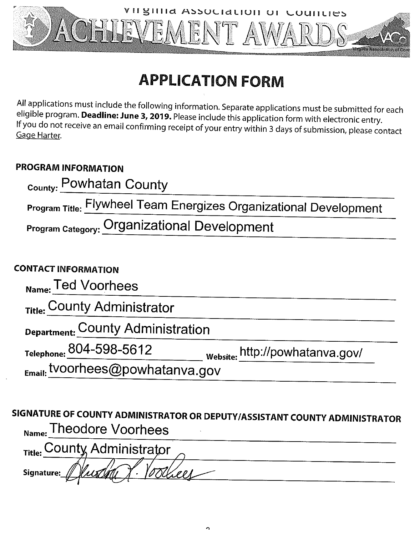

# **APPLICATION FORM**

All applications must include the following information. Separate applications must be submitted for each eligible program. Deadline: June 3, 2019. Please include this application form with electronic entry. If you do not receive an email confirming receipt of your entry within 3 days of submission, please contact Gage Harter.

## **PROGRAM INFORMATION**

| <sub>County:</sub> Powhatan County                                       |
|--------------------------------------------------------------------------|
| <b>Program Title: Flywheel Team Energizes Organizational Development</b> |
| <b>Program Category: Organizational Development</b>                      |

# **CONTACT INFORMATION**

| $_{\sf Name:}$ Ted Voorhees            |  |
|----------------------------------------|--|
| <sub>Title:</sub> County Administrator |  |

Department: COUNTY Administration<br>
Telephone: 804-598-5612<br>
Email: tvoorhees@powhatanva.gov

SIGNATURE OF COUNTY ADMINISTRATOR OR DEPUTY/ASSISTANT COUNTY ADMINISTRATOR <sub>Name:</sub> Theodore Voorhees

**Signature:** 

 $\Delta$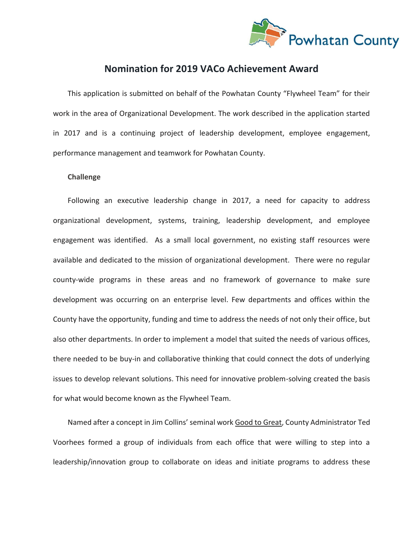

## **Nomination for 2019 VACo Achievement Award**

This application is submitted on behalf of the Powhatan County "Flywheel Team" for their work in the area of Organizational Development. The work described in the application started in 2017 and is a continuing project of leadership development, employee engagement, performance management and teamwork for Powhatan County.

#### **Challenge**

Following an executive leadership change in 2017, a need for capacity to address organizational development, systems, training, leadership development, and employee engagement was identified. As a small local government, no existing staff resources were available and dedicated to the mission of organizational development. There were no regular county-wide programs in these areas and no framework of governance to make sure development was occurring on an enterprise level. Few departments and offices within the County have the opportunity, funding and time to address the needs of not only their office, but also other departments. In order to implement a model that suited the needs of various offices, there needed to be buy-in and collaborative thinking that could connect the dots of underlying issues to develop relevant solutions. This need for innovative problem-solving created the basis for what would become known as the Flywheel Team.

Named after a concept in Jim Collins' seminal work Good to Great, County Administrator Ted Voorhees formed a group of individuals from each office that were willing to step into a leadership/innovation group to collaborate on ideas and initiate programs to address these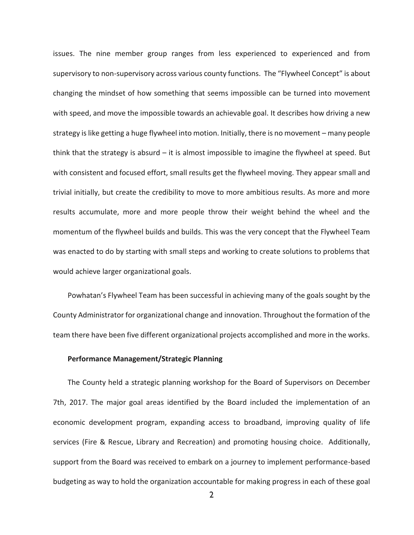issues. The nine member group ranges from less experienced to experienced and from supervisory to non-supervisory across various county functions. The "Flywheel Concept" is about changing the mindset of how something that seems impossible can be turned into movement with speed, and move the impossible towards an achievable goal. It describes how driving a new strategy is like getting a huge flywheel into motion. Initially, there is no movement – many people think that the strategy is absurd – it is almost impossible to imagine the flywheel at speed. But with consistent and focused effort, small results get the flywheel moving. They appear small and trivial initially, but create the credibility to move to more ambitious results. As more and more results accumulate, more and more people throw their weight behind the wheel and the momentum of the flywheel builds and builds. This was the very concept that the Flywheel Team was enacted to do by starting with small steps and working to create solutions to problems that would achieve larger organizational goals.

Powhatan's Flywheel Team has been successful in achieving many of the goals sought by the County Administrator for organizational change and innovation. Throughout the formation of the team there have been five different organizational projects accomplished and more in the works.

#### **Performance Management/Strategic Planning**

The County held a strategic planning workshop for the Board of Supervisors on December 7th, 2017. The major goal areas identified by the Board included the implementation of an economic development program, expanding access to broadband, improving quality of life services (Fire & Rescue, Library and Recreation) and promoting housing choice. Additionally, support from the Board was received to embark on a journey to implement performance-based budgeting as way to hold the organization accountable for making progress in each of these goal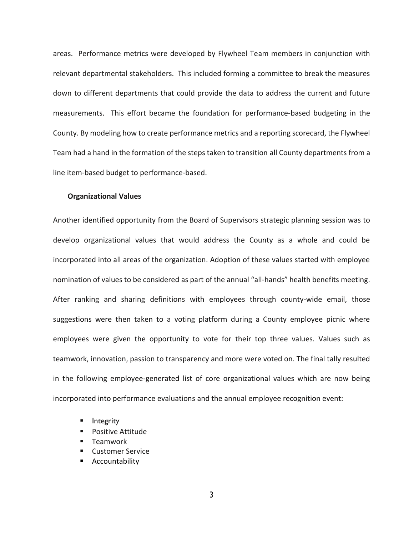areas. Performance metrics were developed by Flywheel Team members in conjunction with relevant departmental stakeholders. This included forming a committee to break the measures down to different departments that could provide the data to address the current and future measurements. This effort became the foundation for performance-based budgeting in the County. By modeling how to create performance metrics and a reporting scorecard, the Flywheel Team had a hand in the formation of the steps taken to transition all County departments from a line item-based budget to performance-based.

#### **Organizational Values**

Another identified opportunity from the Board of Supervisors strategic planning session was to develop organizational values that would address the County as a whole and could be incorporated into all areas of the organization. Adoption of these values started with employee nomination of values to be considered as part of the annual "all-hands" health benefits meeting. After ranking and sharing definitions with employees through county-wide email, those suggestions were then taken to a voting platform during a County employee picnic where employees were given the opportunity to vote for their top three values. Values such as teamwork, innovation, passion to transparency and more were voted on. The final tally resulted in the following employee-generated list of core organizational values which are now being incorporated into performance evaluations and the annual employee recognition event:

- **Integrity**
- **Positive Attitude**
- Teamwork
- Customer Service
- Accountability

3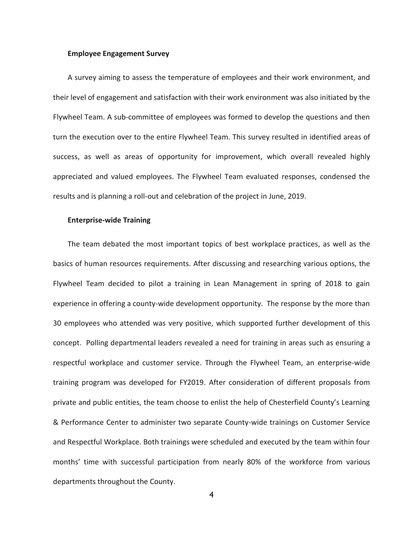#### **Employee Engagement Survey**

A survey aiming to assess the temperature of employees and their work environment, and their level of engagement and satisfaction with their work environment was also initiated by the Flywheel Team. A sub-committee of employees was formed to develop the questions and then turn the execution over to the entire Flywheel Team. This survey resulted in identified areas of success, as well as areas of opportunity for improvement, which overall revealed highly appreciated and valued employees. The Flywheel Team evaluated responses, condensed the results and is planning a roll-out and celebration of the project in June, 2019.

#### **Enterprise-wide Training**

The team debated the most important topics of best workplace practices, as well as the basics of human resources requirements. After discussing and researching various options, the Flywheel Team decided to pilot a training in Lean Management in spring of 2018 to gain experience in offering a county-wide development opportunity. The response by the more than 30 employees who attended was very positive, which supported further development of this concept. Polling departmental leaders revealed a need for training in areas such as ensuring a respectful workplace and customer service. Through the Flywheel Team, an enterprise-wide training program was developed for FY2019. After consideration of different proposals from private and public entities, the team choose to enlist the help of Chesterfield County's Learning & Performance Center to administer two separate County-wide trainings on Customer Service and Respectful Workplace. Both trainings were scheduled and executed by the team within four months' time with successful participation from nearly 80% of the workforce from various departments throughout the County.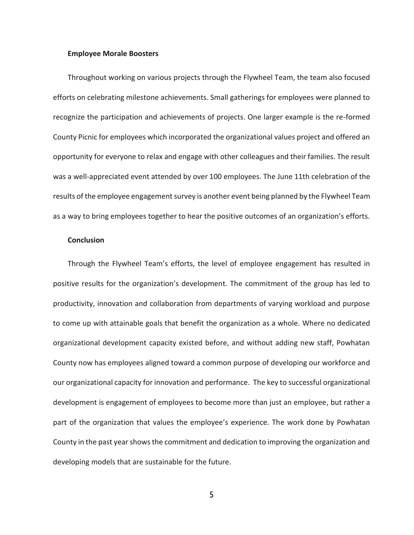#### **Employee Morale Boosters**

Throughout working on various projects through the Flywheel Team, the team also focused efforts on celebrating milestone achievements. Small gatherings for employees were planned to recognize the participation and achievements of projects. One larger example is the re-formed County Picnic for employees which incorporated the organizational values project and offered an opportunity for everyone to relax and engage with other colleagues and their families. The result was a well-appreciated event attended by over 100 employees. The June 11th celebration of the results of the employee engagement survey is another event being planned by the Flywheel Team as a way to bring employees together to hear the positive outcomes of an organization's efforts.

#### **Conclusion**

Through the Flywheel Team's efforts, the level of employee engagement has resulted in positive results for the organization's development. The commitment of the group has led to productivity, innovation and collaboration from departments of varying workload and purpose to come up with attainable goals that benefit the organization as a whole. Where no dedicated organizational development capacity existed before, and without adding new staff, Powhatan County now has employees aligned toward a common purpose of developing our workforce and our organizational capacity for innovation and performance. The key to successful organizational development is engagement of employees to become more than just an employee, but rather a part of the organization that values the employee's experience. The work done by Powhatan County in the past year shows the commitment and dedication to improving the organization and developing models that are sustainable for the future.

5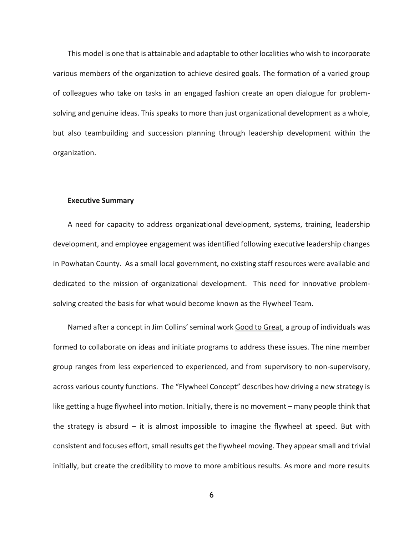This model is one that is attainable and adaptable to other localities who wish to incorporate various members of the organization to achieve desired goals. The formation of a varied group of colleagues who take on tasks in an engaged fashion create an open dialogue for problemsolving and genuine ideas. This speaks to more than just organizational development as a whole, but also teambuilding and succession planning through leadership development within the organization.

#### **Executive Summary**

A need for capacity to address organizational development, systems, training, leadership development, and employee engagement was identified following executive leadership changes in Powhatan County. As a small local government, no existing staff resources were available and dedicated to the mission of organizational development. This need for innovative problemsolving created the basis for what would become known as the Flywheel Team.

Named after a concept in Jim Collins' seminal work Good to Great, a group of individuals was formed to collaborate on ideas and initiate programs to address these issues. The nine member group ranges from less experienced to experienced, and from supervisory to non-supervisory, across various county functions. The "Flywheel Concept" describes how driving a new strategy is like getting a huge flywheel into motion. Initially, there is no movement – many people think that the strategy is absurd  $-$  it is almost impossible to imagine the flywheel at speed. But with consistent and focuses effort, small results get the flywheel moving. They appear small and trivial initially, but create the credibility to move to more ambitious results. As more and more results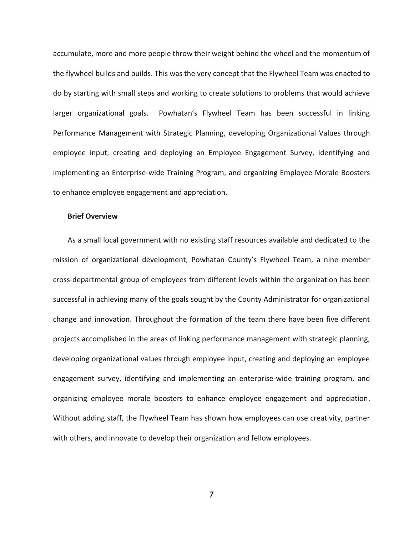accumulate, more and more people throw their weight behind the wheel and the momentum of the flywheel builds and builds. This was the very concept that the Flywheel Team was enacted to do by starting with small steps and working to create solutions to problems that would achieve larger organizational goals. Powhatan's Flywheel Team has been successful in linking Performance Management with Strategic Planning, developing Organizational Values through employee input, creating and deploying an Employee Engagement Survey, identifying and implementing an Enterprise-wide Training Program, and organizing Employee Morale Boosters to enhance employee engagement and appreciation.

#### **Brief Overview**

As a small local government with no existing staff resources available and dedicated to the mission of organizational development, Powhatan County's Flywheel Team, a nine member cross-departmental group of employees from different levels within the organization has been successful in achieving many of the goals sought by the County Administrator for organizational change and innovation. Throughout the formation of the team there have been five different projects accomplished in the areas of linking performance management with strategic planning, developing organizational values through employee input, creating and deploying an employee engagement survey, identifying and implementing an enterprise-wide training program, and organizing employee morale boosters to enhance employee engagement and appreciation. Without adding staff, the Flywheel Team has shown how employees can use creativity, partner with others, and innovate to develop their organization and fellow employees.

7